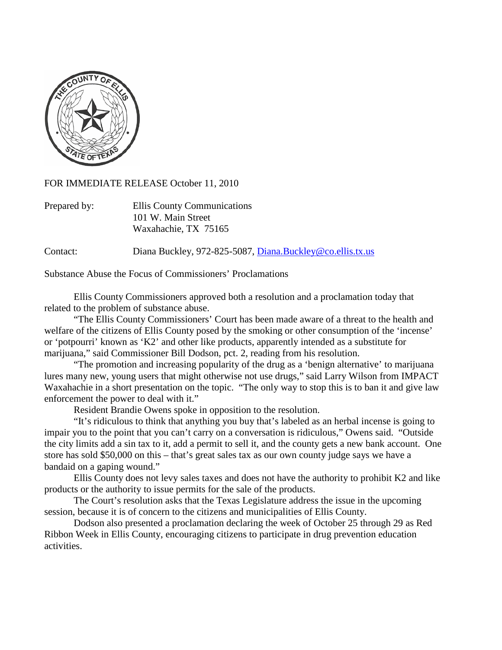

FOR IMMEDIATE RELEASE October 11, 2010

| Prepared by: | Ellis County Communications |
|--------------|-----------------------------|
|              | 101 W. Main Street          |
|              | Waxahachie, TX 75165        |

Contact: Diana Buckley, 972-825-5087, [Diana.Buckley@co.ellis.tx.us](mailto:Diana.Buckley@co.ellis.tx.us)

Substance Abuse the Focus of Commissioners' Proclamations

Ellis County Commissioners approved both a resolution and a proclamation today that related to the problem of substance abuse.

"The Ellis County Commissioners' Court has been made aware of a threat to the health and welfare of the citizens of Ellis County posed by the smoking or other consumption of the 'incense' or 'potpourri' known as 'K2' and other like products, apparently intended as a substitute for marijuana," said Commissioner Bill Dodson, pct. 2, reading from his resolution.

"The promotion and increasing popularity of the drug as a 'benign alternative' to marijuana lures many new, young users that might otherwise not use drugs," said Larry Wilson from IMPACT Waxahachie in a short presentation on the topic. "The only way to stop this is to ban it and give law enforcement the power to deal with it."

Resident Brandie Owens spoke in opposition to the resolution.

"It's ridiculous to think that anything you buy that's labeled as an herbal incense is going to impair you to the point that you can't carry on a conversation is ridiculous," Owens said. "Outside the city limits add a sin tax to it, add a permit to sell it, and the county gets a new bank account. One store has sold \$50,000 on this – that's great sales tax as our own county judge says we have a bandaid on a gaping wound."

Ellis County does not levy sales taxes and does not have the authority to prohibit K2 and like products or the authority to issue permits for the sale of the products.

The Court's resolution asks that the Texas Legislature address the issue in the upcoming session, because it is of concern to the citizens and municipalities of Ellis County.

Dodson also presented a proclamation declaring the week of October 25 through 29 as Red Ribbon Week in Ellis County, encouraging citizens to participate in drug prevention education activities.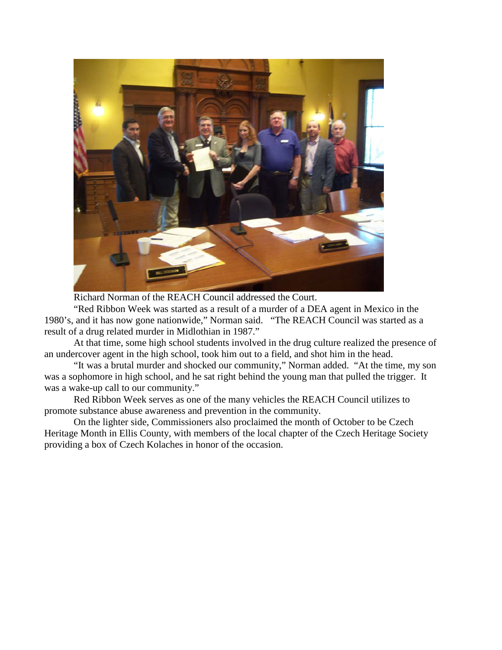

Richard Norman of the REACH Council addressed the Court.

"Red Ribbon Week was started as a result of a murder of a DEA agent in Mexico in the 1980's, and it has now gone nationwide," Norman said. "The REACH Council was started as a result of a drug related murder in Midlothian in 1987."

At that time, some high school students involved in the drug culture realized the presence of an undercover agent in the high school, took him out to a field, and shot him in the head.

"It was a brutal murder and shocked our community," Norman added. "At the time, my son was a sophomore in high school, and he sat right behind the young man that pulled the trigger. It was a wake-up call to our community."

Red Ribbon Week serves as one of the many vehicles the REACH Council utilizes to promote substance abuse awareness and prevention in the community.

On the lighter side, Commissioners also proclaimed the month of October to be Czech Heritage Month in Ellis County, with members of the local chapter of the Czech Heritage Society providing a box of Czech Kolaches in honor of the occasion.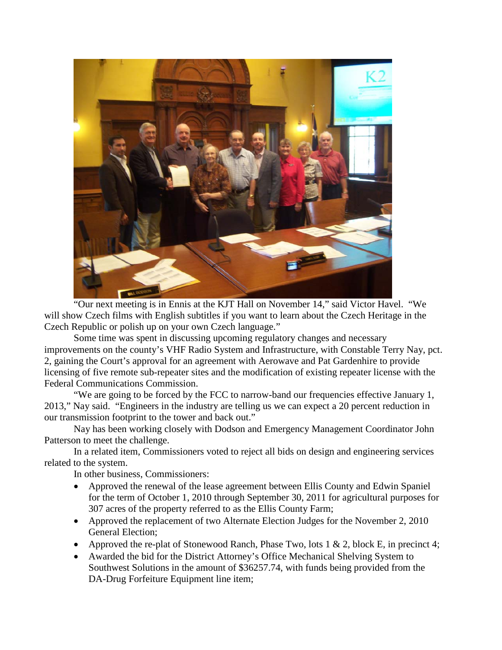

"Our next meeting is in Ennis at the KJT Hall on November 14," said Victor Havel. "We will show Czech films with English subtitles if you want to learn about the Czech Heritage in the Czech Republic or polish up on your own Czech language."

Some time was spent in discussing upcoming regulatory changes and necessary improvements on the county's VHF Radio System and Infrastructure, with Constable Terry Nay, pct. 2, gaining the Court's approval for an agreement with Aerowave and Pat Gardenhire to provide licensing of five remote sub-repeater sites and the modification of existing repeater license with the Federal Communications Commission.

"We are going to be forced by the FCC to narrow-band our frequencies effective January 1, 2013," Nay said. "Engineers in the industry are telling us we can expect a 20 percent reduction in our transmission footprint to the tower and back out."

Nay has been working closely with Dodson and Emergency Management Coordinator John Patterson to meet the challenge.

In a related item, Commissioners voted to reject all bids on design and engineering services related to the system.

In other business, Commissioners:

- Approved the renewal of the lease agreement between Ellis County and Edwin Spaniel for the term of October 1, 2010 through September 30, 2011 for agricultural purposes for 307 acres of the property referred to as the Ellis County Farm;
- Approved the replacement of two Alternate Election Judges for the November 2, 2010 General Election;
- Approved the re-plat of Stonewood Ranch, Phase Two, lots  $1 \& 2$ , block E, in precinct 4;
- Awarded the bid for the District Attorney's Office Mechanical Shelving System to Southwest Solutions in the amount of \$36257.74, with funds being provided from the DA-Drug Forfeiture Equipment line item;